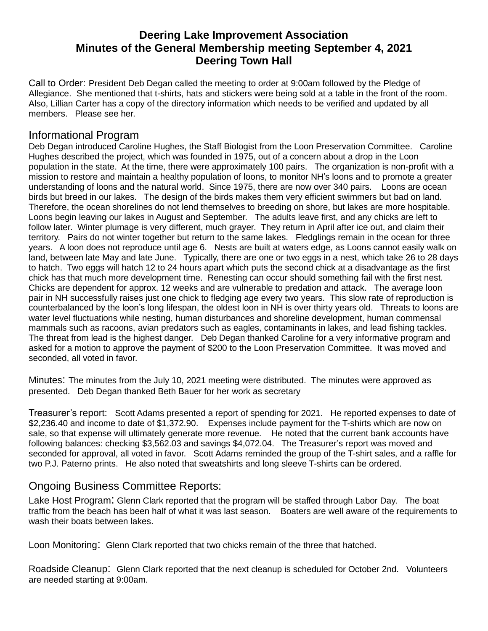# **Deering Lake Improvement Association Minutes of the General Membership meeting September 4, 2021 Deering Town Hall**

Call to Order: President Deb Degan called the meeting to order at 9:00am followed by the Pledge of Allegiance. She mentioned that t-shirts, hats and stickers were being sold at a table in the front of the room. Also, Lillian Carter has a copy of the directory information which needs to be verified and updated by all members. Please see her.

#### Informational Program

Deb Degan introduced Caroline Hughes, the Staff Biologist from the Loon Preservation Committee. Caroline Hughes described the project, which was founded in 1975, out of a concern about a drop in the Loon population in the state. At the time, there were approximately 100 pairs. The organization is non-profit with a mission to restore and maintain a healthy population of loons, to monitor NH's loons and to promote a greater understanding of loons and the natural world. Since 1975, there are now over 340 pairs. Loons are ocean birds but breed in our lakes. The design of the birds makes them very efficient swimmers but bad on land. Therefore, the ocean shorelines do not lend themselves to breeding on shore, but lakes are more hospitable. Loons begin leaving our lakes in August and September. The adults leave first, and any chicks are left to follow later. Winter plumage is very different, much grayer. They return in April after ice out, and claim their territory. Pairs do not winter together but return to the same lakes. Fledglings remain in the ocean for three years. A loon does not reproduce until age 6. Nests are built at waters edge, as Loons cannot easily walk on land, between late May and late June. Typically, there are one or two eggs in a nest, which take 26 to 28 days to hatch. Two eggs will hatch 12 to 24 hours apart which puts the second chick at a disadvantage as the first chick has that much more development time. Renesting can occur should something fail with the first nest. Chicks are dependent for approx. 12 weeks and are vulnerable to predation and attack. The average loon pair in NH successfully raises just one chick to fledging age every two years. This slow rate of reproduction is counterbalanced by the loon's long lifespan, the oldest loon in NH is over thirty years old. Threats to loons are water level fluctuations while nesting, human disturbances and shoreline development, human commensal mammals such as racoons, avian predators such as eagles, contaminants in lakes, and lead fishing tackles. The threat from lead is the highest danger. Deb Degan thanked Caroline for a very informative program and asked for a motion to approve the payment of \$200 to the Loon Preservation Committee. It was moved and seconded, all voted in favor.

Minutes: The minutes from the July 10, 2021 meeting were distributed. The minutes were approved as presented. Deb Degan thanked Beth Bauer for her work as secretary

Treasurer's report: Scott Adams presented a report of spending for 2021. He reported expenses to date of \$2,236.40 and income to date of \$1,372.90. Expenses include payment for the T-shirts which are now on sale, so that expense will ultimately generate more revenue. He noted that the current bank accounts have following balances: checking \$3,562.03 and savings \$4,072.04. The Treasurer's report was moved and seconded for approval, all voted in favor. Scott Adams reminded the group of the T-shirt sales, and a raffle for two P.J. Paterno prints. He also noted that sweatshirts and long sleeve T-shirts can be ordered.

## Ongoing Business Committee Reports:

Lake Host Program: Glenn Clark reported that the program will be staffed through Labor Day. The boat traffic from the beach has been half of what it was last season. Boaters are well aware of the requirements to wash their boats between lakes.

Loon Monitoring: Glenn Clark reported that two chicks remain of the three that hatched.

Roadside Cleanup: Glenn Clark reported that the next cleanup is scheduled for October 2nd. Volunteers are needed starting at 9:00am.